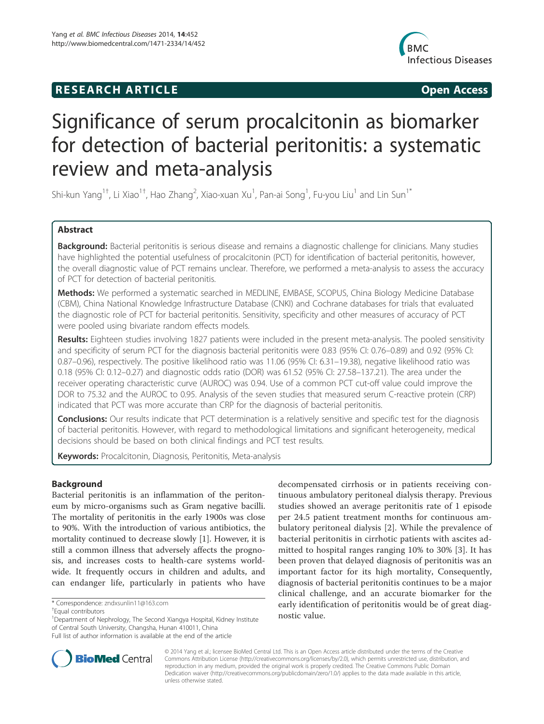# **RESEARCH ARTICLE Example 2014 CONSIDERING CONSIDERING CONSIDERING CONSIDERING CONSIDERING CONSIDERING CONSIDERING CONSIDERING CONSIDERING CONSIDERING CONSIDERING CONSIDERING CONSIDERING CONSIDERING CONSIDERING CONSIDE**



# Significance of serum procalcitonin as biomarker for detection of bacterial peritonitis: a systematic review and meta-analysis

Shi-kun Yang $^{1\dagger}$ , Li Xiao $^{1\dagger}$ , Hao Zhang $^2$ , Xiao-xuan Xu $^1$ , Pan-ai Song $^1$ , Fu-you Liu $^1$  and Lin Sun $^{1*}$ 

# Abstract

Background: Bacterial peritonitis is serious disease and remains a diagnostic challenge for clinicians. Many studies have highlighted the potential usefulness of procalcitonin (PCT) for identification of bacterial peritonitis, however, the overall diagnostic value of PCT remains unclear. Therefore, we performed a meta-analysis to assess the accuracy of PCT for detection of bacterial peritonitis.

Methods: We performed a systematic searched in MEDLINE, EMBASE, SCOPUS, China Biology Medicine Database (CBM), China National Knowledge Infrastructure Database (CNKI) and Cochrane databases for trials that evaluated the diagnostic role of PCT for bacterial peritonitis. Sensitivity, specificity and other measures of accuracy of PCT were pooled using bivariate random effects models.

Results: Eighteen studies involving 1827 patients were included in the present meta-analysis. The pooled sensitivity and specificity of serum PCT for the diagnosis bacterial peritonitis were 0.83 (95% CI: 0.76–0.89) and 0.92 (95% CI: 0.87–0.96), respectively. The positive likelihood ratio was 11.06 (95% CI: 6.31–19.38), negative likelihood ratio was 0.18 (95% CI: 0.12–0.27) and diagnostic odds ratio (DOR) was 61.52 (95% CI: 27.58–137.21). The area under the receiver operating characteristic curve (AUROC) was 0.94. Use of a common PCT cut-off value could improve the DOR to 75.32 and the AUROC to 0.95. Analysis of the seven studies that measured serum C-reactive protein (CRP) indicated that PCT was more accurate than CRP for the diagnosis of bacterial peritonitis.

**Conclusions:** Our results indicate that PCT determination is a relatively sensitive and specific test for the diagnosis of bacterial peritonitis. However, with regard to methodological limitations and significant heterogeneity, medical decisions should be based on both clinical findings and PCT test results.

Keywords: Procalcitonin, Diagnosis, Peritonitis, Meta-analysis

# Background

Bacterial peritonitis is an inflammation of the peritoneum by micro-organisms such as Gram negative bacilli. The mortality of peritonitis in the early 1900s was close to 90%. With the introduction of various antibiotics, the mortality continued to decrease slowly [1]. However, it is still a common illness that adversely affects the prognosis, and increases costs to health-care systems worldwide. It frequently occurs in children and adults, and can endanger life, particularly in patients who have

\* Correspondence: zndxsunlin11@163.com †

<sup>1</sup>Department of Nephrology, The Second Xiangya Hospital, Kidney Institute of Central South University, Changsha, Hunan 410011, China Full list of author information is available at the end of the article

decompensated cirrhosis or in patients receiving continuous ambulatory peritoneal dialysis therapy. Previous studies showed an average peritonitis rate of 1 episode per 24.5 patient treatment months for continuous ambulatory peritoneal dialysis [2]. While the prevalence of bacterial peritonitis in cirrhotic patients with ascites admitted to hospital ranges ranging 10% to 30% [3]. It has been proven that delayed diagnosis of peritonitis was an important factor for its high mortality, Consequently, diagnosis of bacterial peritonitis continues to be a major clinical challenge, and an accurate biomarker for the early identification of peritonitis would be of great diagnostic value.



© 2014 Yang et al.; licensee BioMed Central Ltd. This is an Open Access article distributed under the terms of the Creative Commons Attribution License (http://creativecommons.org/licenses/by/2.0), which permits unrestricted use, distribution, and reproduction in any medium, provided the original work is properly credited. The Creative Commons Public Domain Dedication waiver (http://creativecommons.org/publicdomain/zero/1.0/) applies to the data made available in this article, unless otherwise stated.

Equal contributors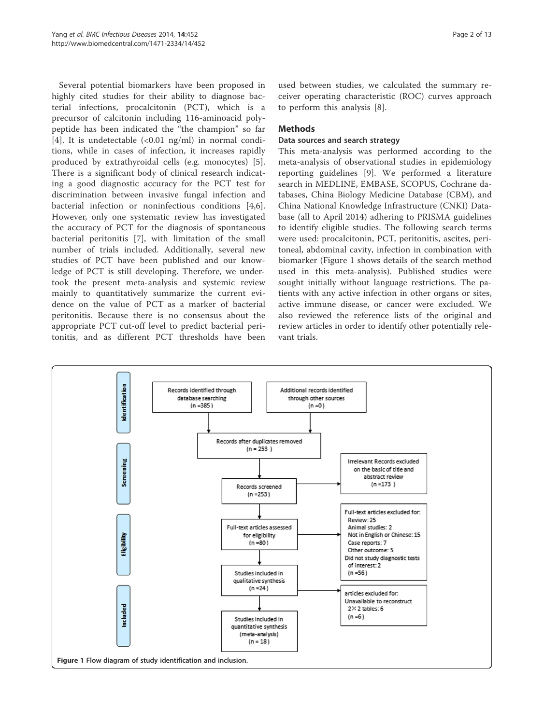Several potential biomarkers have been proposed in highly cited studies for their ability to diagnose bacterial infections, procalcitonin (PCT), which is a precursor of calcitonin including 116-aminoacid polypeptide has been indicated the "the champion" so far [4]. It is undetectable  $\langle$ <0.01 ng/ml) in normal conditions, while in cases of infection, it increases rapidly produced by extrathyroidal cells (e.g. monocytes) [5]. There is a significant body of clinical research indicating a good diagnostic accuracy for the PCT test for discrimination between invasive fungal infection and bacterial infection or noninfectious conditions [4,6]. However, only one systematic review has investigated the accuracy of PCT for the diagnosis of spontaneous bacterial peritonitis [7], with limitation of the small number of trials included. Additionally, several new studies of PCT have been published and our knowledge of PCT is still developing. Therefore, we undertook the present meta-analysis and systemic review mainly to quantitatively summarize the current evidence on the value of PCT as a marker of bacterial peritonitis. Because there is no consensus about the appropriate PCT cut-off level to predict bacterial peritonitis, and as different PCT thresholds have been

used between studies, we calculated the summary receiver operating characteristic (ROC) curves approach to perform this analysis [8].

# Methods

#### Data sources and search strategy

This meta-analysis was performed according to the meta-analysis of observational studies in epidemiology reporting guidelines [9]. We performed a literature search in MEDLINE, EMBASE, SCOPUS, Cochrane databases, China Biology Medicine Database (CBM), and China National Knowledge Infrastructure (CNKI) Database (all to April 2014) adhering to PRISMA guidelines to identify eligible studies. The following search terms were used: procalcitonin, PCT, peritonitis, ascites, peritoneal, abdominal cavity, infection in combination with biomarker (Figure 1 shows details of the search method used in this meta-analysis). Published studies were sought initially without language restrictions. The patients with any active infection in other organs or sites, active immune disease, or cancer were excluded. We also reviewed the reference lists of the original and review articles in order to identify other potentially relevant trials.

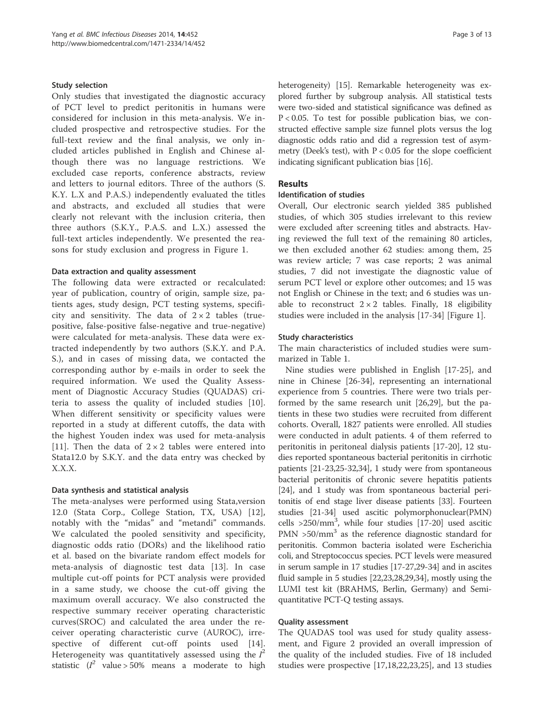# Study selection

Only studies that investigated the diagnostic accuracy of PCT level to predict peritonitis in humans were considered for inclusion in this meta-analysis. We included prospective and retrospective studies. For the full-text review and the final analysis, we only included articles published in English and Chinese although there was no language restrictions. We excluded case reports, conference abstracts, review and letters to journal editors. Three of the authors (S. K.Y. L.X and P.A.S.) independently evaluated the titles and abstracts, and excluded all studies that were clearly not relevant with the inclusion criteria, then three authors (S.K.Y., P.A.S. and L.X.) assessed the full-text articles independently. We presented the reasons for study exclusion and progress in Figure 1.

# Data extraction and quality assessment

The following data were extracted or recalculated: year of publication, country of origin, sample size, patients ages, study design, PCT testing systems, specificity and sensitivity. The data of  $2 \times 2$  tables (truepositive, false-positive false-negative and true-negative) were calculated for meta-analysis. These data were extracted independently by two authors (S.K.Y. and P.A. S.), and in cases of missing data, we contacted the corresponding author by e-mails in order to seek the required information. We used the Quality Assessment of Diagnostic Accuracy Studies (QUADAS) criteria to assess the quality of included studies [10]. When different sensitivity or specificity values were reported in a study at different cutoffs, the data with the highest Youden index was used for meta-analysis [11]. Then the data of  $2 \times 2$  tables were entered into Stata12.0 by S.K.Y. and the data entry was checked by X.X.X.

#### Data synthesis and statistical analysis

The meta-analyses were performed using Stata,version 12.0 (Stata Corp., College Station, TX, USA) [12], notably with the "midas" and "metandi" commands. We calculated the pooled sensitivity and specificity, diagnostic odds ratio (DORs) and the likelihood ratio et al. based on the bivariate random effect models for meta-analysis of diagnostic test data [13]. In case multiple cut-off points for PCT analysis were provided in a same study, we choose the cut-off giving the maximum overall accuracy. We also constructed the respective summary receiver operating characteristic curves(SROC) and calculated the area under the receiver operating characteristic curve (AUROC), irrespective of different cut-off points used [14]. Heterogeneity was quantitatively assessed using the  $I^2$ statistic  $(I^2 \text{ value} > 50\% \text{ means a moderate to high})$ 

heterogeneity) [15]. Remarkable heterogeneity was explored further by subgroup analysis. All statistical tests were two-sided and statistical significance was defined as  $P < 0.05$ . To test for possible publication bias, we constructed effective sample size funnel plots versus the log diagnostic odds ratio and did a regression test of asymmetry (Deek's test), with  $P < 0.05$  for the slope coefficient indicating significant publication bias [16].

# **Results**

#### Identification of studies

Overall, Our electronic search yielded 385 published studies, of which 305 studies irrelevant to this review were excluded after screening titles and abstracts. Having reviewed the full text of the remaining 80 articles, we then excluded another 62 studies: among them, 25 was review article; 7 was case reports; 2 was animal studies, 7 did not investigate the diagnostic value of serum PCT level or explore other outcomes; and 15 was not English or Chinese in the text; and 6 studies was unable to reconstruct  $2 \times 2$  tables. Finally, 18 eligibility studies were included in the analysis [17-34] [Figure 1].

# Study characteristics

The main characteristics of included studies were summarized in Table 1.

Nine studies were published in English [17-25], and nine in Chinese [26-34], representing an international experience from 5 countries. There were two trials performed by the same research unit [26,29], but the patients in these two studies were recruited from different cohorts. Overall, 1827 patients were enrolled. All studies were conducted in adult patients. 4 of them referred to peritonitis in peritoneal dialysis patients [17-20], 12 studies reported spontaneous bacterial peritonitis in cirrhotic patients [21-23,25-32,34], 1 study were from spontaneous bacterial peritonitis of chronic severe hepatitis patients [24], and 1 study was from spontaneous bacterial peritonitis of end stage liver disease patients [33]. Fourteen studies [21-34] used ascitic polymorphonuclear(PMN) cells >250/mm3 , while four studies [17-20] used ascitic PMN  $>50/mm<sup>3</sup>$  as the reference diagnostic standard for peritonitis. Common bacteria isolated were Escherichia coli, and Streptococcus species. PCT levels were measured in serum sample in 17 studies [17-27,29-34] and in ascites fluid sample in 5 studies [22,23,28,29,34], mostly using the LUMI test kit (BRAHMS, Berlin, Germany) and Semiquantitative PCT-Q testing assays.

#### Quality assessment

The QUADAS tool was used for study quality assessment, and Figure 2 provided an overall impression of the quality of the included studies. Five of 18 included studies were prospective [17,18,22,23,25], and 13 studies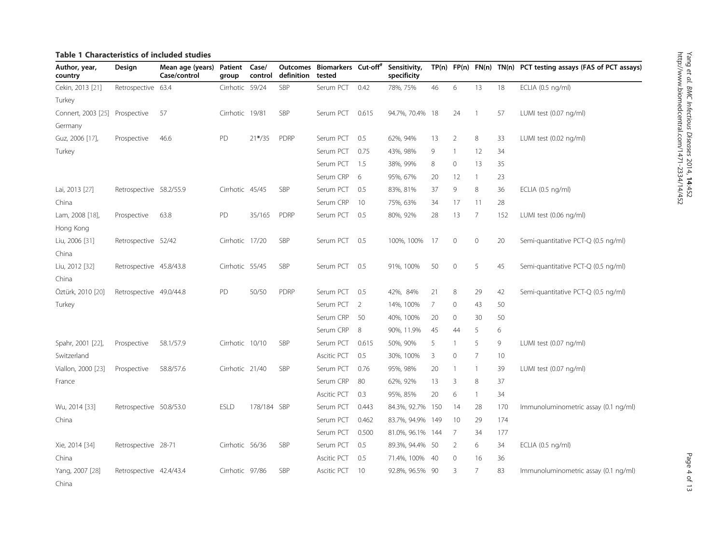# Table 1 Characteristics of included studies

| Author, year,<br>country       | Design                  | Mean age (years)<br>Case/control | Patient<br>group | Case/<br>control | definition  | Outcomes Biomarkers Cut-off#<br>tested |       | Sensitivity,<br>specificity |     |                     |                |        | TP(n) FP(n) FN(n) TN(n) PCT testing assays (FAS of PCT assays) |
|--------------------------------|-------------------------|----------------------------------|------------------|------------------|-------------|----------------------------------------|-------|-----------------------------|-----|---------------------|----------------|--------|----------------------------------------------------------------|
| Cekin, 2013 [21]               | Retrospective 63.4      |                                  | Cirrhotic 59/24  |                  | SBP         | Serum PCT                              | 0.42  | 78%, 75%                    | 46  | 6                   | 13             | $18\,$ | ECLIA (0.5 ng/ml)                                              |
| Turkey                         |                         |                                  |                  |                  |             |                                        |       |                             |     |                     |                |        |                                                                |
| Connert, 2003 [25] Prospective |                         | 57                               | Cirrhotic 19/81  |                  | SBP         | Serum PCT                              | 0.615 | 94.7%, 70.4% 18             |     | 24                  | $\overline{1}$ | 57     | LUMI test (0.07 ng/ml)                                         |
| Germany                        |                         |                                  |                  |                  |             |                                        |       |                             |     |                     |                |        |                                                                |
| Guz, 2006 [17],                | Prospective             | 46.6                             | PD               | $21*/35$         | <b>PDRP</b> | Serum PCT                              | 0.5   | 62%, 94%                    | 13  | 2                   | 8              | 33     | LUMI test (0.02 ng/ml)                                         |
| Turkey                         |                         |                                  |                  |                  |             | Serum PCT                              | 0.75  | 43%, 98%                    | 9   | -1                  | 12             | 34     |                                                                |
|                                |                         |                                  |                  |                  |             | Serum PCT                              | 1.5   | 38%, 99%                    | 8   | $\mathsf{O}\xspace$ | 13             | 35     |                                                                |
|                                |                         |                                  |                  |                  |             | Serum CRP                              | -6    | 95%, 67%                    | 20  | 12                  | $\mathbf{1}$   | 23     |                                                                |
| Lai, 2013 [27]                 | Retrospective 58.2/55.9 |                                  | Cirrhotic 45/45  |                  | SBP         | Serum PCT                              | 0.5   | 83%, 81%                    | 37  | 9                   | 8              | 36     | ECLIA (0.5 ng/ml)                                              |
| China                          |                         |                                  |                  |                  |             | Serum CRP                              | 10    | 75%, 63%                    | 34  | 17                  | 11             | 28     |                                                                |
| Lam, 2008 [18],                | Prospective             | 63.8                             | PD               | 35/165           | PDRP        | Serum PCT                              | 0.5   | 80%, 92%                    | 28  | 13                  | 7              | 152    | LUMI test (0.06 ng/ml)                                         |
| Hong Kong                      |                         |                                  |                  |                  |             |                                        |       |                             |     |                     |                |        |                                                                |
| Liu, 2006 [31]                 | Retrospective 52/42     |                                  | Cirrhotic 17/20  |                  | SBP         | Serum PCT                              | 0.5   | 100%, 100%                  | 17  | $\mathbf 0$         | $\mathbf 0$    | 20     | Semi-quantitative PCT-Q (0.5 ng/ml)                            |
| China                          |                         |                                  |                  |                  |             |                                        |       |                             |     |                     |                |        |                                                                |
| Liu, 2012 [32]                 | Retrospective 45.8/43.8 |                                  | Cirrhotic 55/45  |                  | SBP         | Serum PCT                              | 0.5   | 91%, 100%                   | 50  | $\mathbf 0$         | 5              | 45     | Semi-quantitative PCT-Q (0.5 ng/ml)                            |
| China                          |                         |                                  |                  |                  |             |                                        |       |                             |     |                     |                |        |                                                                |
| Öztürk, 2010 [20]              | Retrospective 49.0/44.8 |                                  | PD               | 50/50            | PDRP        | Serum PCT                              | 0.5   | 42%, 84%                    | 21  | 8                   | 29             | 42     | Semi-quantitative PCT-Q (0.5 ng/ml)                            |
| Turkey                         |                         |                                  |                  |                  |             | Serum PCT                              | -2    | 14%, 100%                   | 7   | $\mathbf{0}$        | 43             | 50     |                                                                |
|                                |                         |                                  |                  |                  |             | Serum CRP                              | 50    | 40%, 100%                   | 20  | $\circ$             | 30             | 50     |                                                                |
|                                |                         |                                  |                  |                  |             | Serum CRP                              | 8     | 90%, 11.9%                  | 45  | 44                  | 5              | 6      |                                                                |
| Spahr, 2001 [22],              | Prospective             | 58.1/57.9                        | Cirrhotic 10/10  |                  | SBP         | Serum PCT                              | 0.615 | 50%, 90%                    | 5   | -1                  | 5              | 9      | LUMI test (0.07 ng/ml)                                         |
| Switzerland                    |                         |                                  |                  |                  |             | Ascitic PCT                            | 0.5   | 30%, 100%                   | 3   | 0                   | 7              | 10     |                                                                |
| Viallon, 2000 [23]             | Prospective             | 58.8/57.6                        | Cirrhotic 21/40  |                  | SBP         | Serum PCT                              | 0.76  | 95%, 98%                    | 20  | -1                  | $\overline{1}$ | 39     | LUMI test (0.07 ng/ml)                                         |
| France                         |                         |                                  |                  |                  |             | Serum CRP                              | 80    | 62%, 92%                    | 13  | 3                   | 8              | 37     |                                                                |
|                                |                         |                                  |                  |                  |             | Ascitic PCT                            | 0.3   | 95%, 85%                    | 20  | 6                   | $\mathbf{1}$   | 34     |                                                                |
| Wu, 2014 [33]                  | Retrospective 50.8/53.0 |                                  | <b>ESLD</b>      | 178/184 SBP      |             | Serum PCT                              | 0.443 | 84.3%, 92.7% 150            |     | -14                 | 28             | 170    | Immunoluminometric assay (0.1 ng/ml)                           |
| China                          |                         |                                  |                  |                  |             | Serum PCT                              | 0.462 | 83.7%, 94.9%                | 149 | 10                  | 29             | 174    |                                                                |
|                                |                         |                                  |                  |                  |             | Serum PCT                              | 0.500 | 81.0%, 96.1% 144            |     | $\overline{7}$      | 34             | 177    |                                                                |
| Xie, 2014 [34]                 | Retrospective 28-71     |                                  | Cirrhotic 56/36  |                  | SBP         | Serum PCT                              | 0.5   | 89.3%, 94.4% 50             |     | 2                   | 6              | 34     | $ECLIA$ (0.5 ng/ml)                                            |
| China                          |                         |                                  |                  |                  |             | Ascitic PCT                            | 0.5   | 71.4%, 100%                 | -40 | $\circ$             | 16             | 36     |                                                                |
| Yang, 2007 [28]                | Retrospective 42.4/43.4 |                                  | Cirrhotic 97/86  |                  | SBP         | Ascitic PCT                            | 10    | 92.8%, 96.5% 90             |     | 3                   | $\overline{7}$ | 83     | Immunoluminometric assay (0.1 ng/ml)                           |
| China                          |                         |                                  |                  |                  |             |                                        |       |                             |     |                     |                |        |                                                                |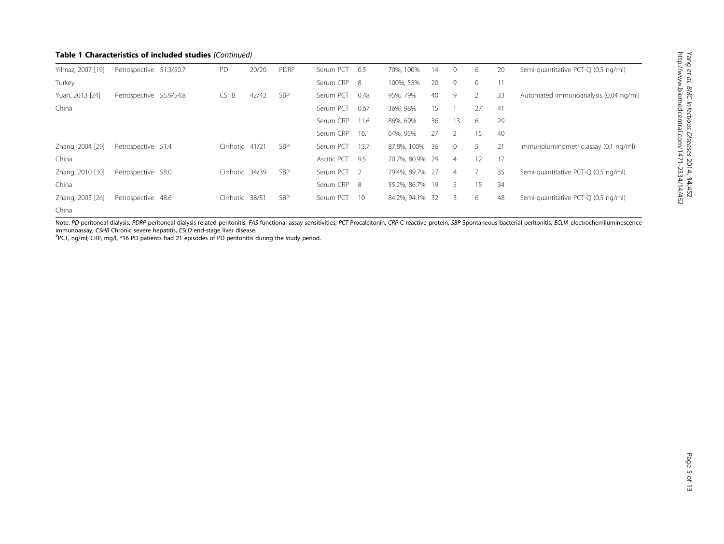# Table 1 Characteristics of included studies (Continued)

| Yilmaz, 2007 [19] | Retrospective 51.3/50.7 | PD              | 20/20 | <b>PDRP</b> | Serum PCT 0.5 |      | 70%, 100%       | 14 | $\circ$        | 6        | 20 | Semi-quantitative PCT-Q (0.5 ng/ml)   |
|-------------------|-------------------------|-----------------|-------|-------------|---------------|------|-----------------|----|----------------|----------|----|---------------------------------------|
| Turkey            |                         |                 |       |             | Serum CRP 8   |      | 100%, 55%       | 20 | 9              | $\Omega$ | 11 |                                       |
| Yuan, 2013 [24]   | Retrospective 55.9/54.8 | <b>CSHB</b>     | 42/42 | SBP         | Serum PCT     | 0.48 | 95%, 79%        | 40 | 9              |          | 33 | Automated Immunoanalysis (0.04 ng/ml) |
| China             |                         |                 |       |             | Serum PCT     | 0.67 | 36%, 98%        | 15 |                | 27       | 41 |                                       |
|                   |                         |                 |       |             | Serum CRP     | 11.6 | 86%, 69%        | 36 | 13             | 6        | 29 |                                       |
|                   |                         |                 |       |             | Serum CRP     | 16.1 | 64%, 95%        | 27 |                | 15       | 40 |                                       |
| Zhang, 2004 [29]  | Retrospective 51.4      | Cirrhotic 41/21 |       | SBP         | Serum PCT     | 13.7 | 87.8%, 100% 36  |    | $\Omega$       | 5        | 21 | Immunoluminometric assay (0.1 ng/ml)  |
| China             |                         |                 |       |             | Ascitic PCT   | 9.5  | 70.7%, 80.9% 29 |    | $\overline{4}$ | 12       | 17 |                                       |
| Zhang, 2010 [30]  | Retrospective 58.0      | Cirrhotic 34/39 |       | SBP         | Serum PCT 2   |      | 79.4%, 89.7% 27 |    | $\overline{4}$ |          | 35 | Semi-quantitative PCT-Q (0.5 ng/ml)   |
| China             |                         |                 |       |             | Serum CRP 8   |      | 55.2%, 86.7% 19 |    | 5.             | 15       | 34 |                                       |
| Zhang, 2003 [26]  | Retrospective 48.6      | Cirrhotic 38/51 |       | SBP         | Serum PCT     | 10   | 84.2%, 94.1% 32 |    | 3              | 6        | 48 | Semi-quantitative PCT-Q (0.5 ng/ml)   |
| China             |                         |                 |       |             |               |      |                 |    |                |          |    |                                       |

Note: PD peritoneal dialysis, PDRP peritoneal dialysis-related peritonitis, FAS functional assay sensitivities, PCT Procalcitonin, CRP C-reactive protein, SBP Spontaneous bacterial peritonitis, ECLIA electrochemiluminescen immunoassay, CSHB Chronic severe hepatitis, ESLD end-stage liver disease.

PCT, ng/ml; CRP, mg/l, \*16 PD patients had 21 episodes of PD peritonitis during the study period.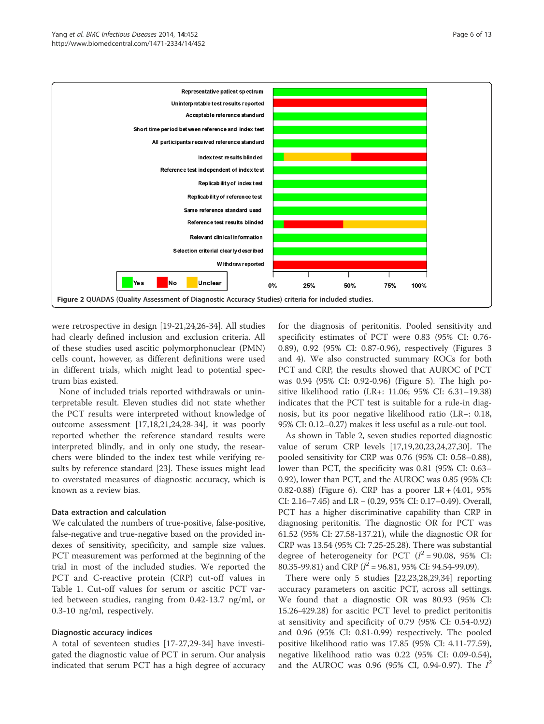

were retrospective in design [19-21,24,26-34]. All studies had clearly defined inclusion and exclusion criteria. All of these studies used ascitic polymorphonuclear (PMN) cells count, however, as different definitions were used in different trials, which might lead to potential spectrum bias existed.

None of included trials reported withdrawals or uninterpretable result. Eleven studies did not state whether the PCT results were interpreted without knowledge of outcome assessment [17,18,21,24,28-34], it was poorly reported whether the reference standard results were interpreted blindly, and in only one study, the researchers were blinded to the index test while verifying results by reference standard [23]. These issues might lead to overstated measures of diagnostic accuracy, which is known as a review bias.

# Data extraction and calculation

We calculated the numbers of true-positive, false-positive, false-negative and true-negative based on the provided indexes of sensitivity, specificity, and sample size values. PCT measurement was performed at the beginning of the trial in most of the included studies. We reported the PCT and C-reactive protein (CRP) cut-off values in Table 1. Cut-off values for serum or ascitic PCT varied between studies, ranging from 0.42-13.7 ng/ml, or 0.3-10 ng/ml, respectively.

#### Diagnostic accuracy indices

A total of seventeen studies [17-27,29-34] have investigated the diagnostic value of PCT in serum. Our analysis indicated that serum PCT has a high degree of accuracy

for the diagnosis of peritonitis. Pooled sensitivity and specificity estimates of PCT were 0.83 (95% CI: 0.76- 0.89), 0.92 (95% CI: 0.87-0.96), respectively (Figures 3 and 4). We also constructed summary ROCs for both PCT and CRP, the results showed that AUROC of PCT was 0.94 (95% CI: 0.92-0.96) (Figure 5). The high positive likelihood ratio (LR+: 11.06; 95% CI: 6.31–19.38) indicates that the PCT test is suitable for a rule-in diagnosis, but its poor negative likelihood ratio (LR−: 0.18, 95% CI: 0.12–0.27) makes it less useful as a rule-out tool.

As shown in Table 2, seven studies reported diagnostic value of serum CRP levels [17,19,20,23,24,27,30]. The pooled sensitivity for CRP was 0.76 (95% CI: 0.58–0.88), lower than PCT, the specificity was 0.81 (95% CI: 0.63– 0.92), lower than PCT, and the AUROC was 0.85 (95% CI: 0.82-0.88) (Figure 6). CRP has a poorer LR + (4.01, 95% CI: 2.16–7.45) and LR − (0.29, 95% CI: 0.17–0.49). Overall, PCT has a higher discriminative capability than CRP in diagnosing peritonitis. The diagnostic OR for PCT was 61.52 (95% CI: 27.58-137.21), while the diagnostic OR for CRP was 13.54 (95% CI: 7.25-25.28). There was substantial degree of heterogeneity for PCT  $(I^2 = 90.08, 95\%$  CI: 80.35-99.81) and CRP ( $I^2$  = 96.81, 95% CI: 94.54-99.09).

There were only 5 studies [22,23,28,29,34] reporting accuracy parameters on ascitic PCT, across all settings. We found that a diagnostic OR was 80.93 (95% CI: 15.26-429.28) for ascitic PCT level to predict peritonitis at sensitivity and specificity of 0.79 (95% CI: 0.54-0.92) and 0.96 (95% CI: 0.81-0.99) respectively. The pooled positive likelihood ratio was 17.85 (95% CI: 4.11-77.59), negative likelihood ratio was 0.22 (95% CI: 0.09-0.54), and the AUROC was 0.96 (95% CI, 0.94-0.97). The  $I^2$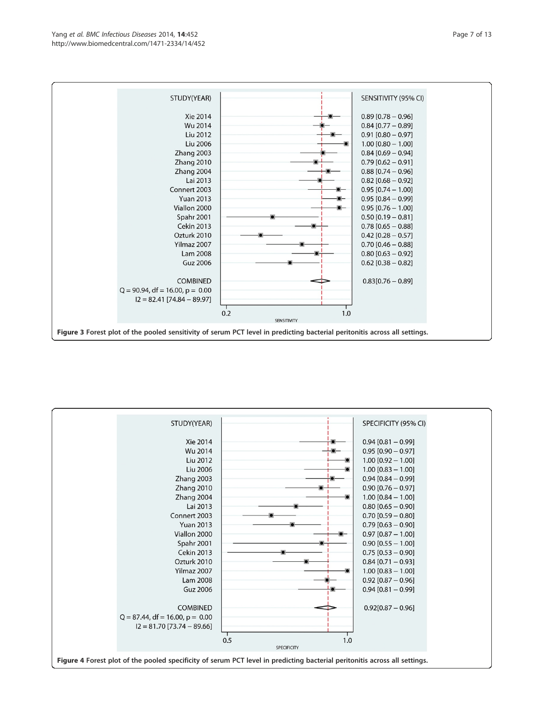

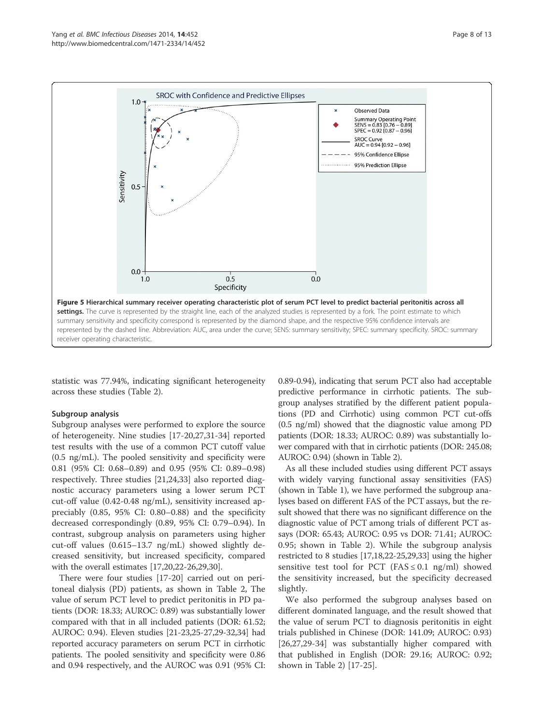

statistic was 77.94%, indicating significant heterogeneity across these studies (Table 2).

#### Subgroup analysis

Subgroup analyses were performed to explore the source of heterogeneity. Nine studies [17-20,27,31-34] reported test results with the use of a common PCT cutoff value (0.5 ng/mL). The pooled sensitivity and specificity were 0.81 (95% CI: 0.68–0.89) and 0.95 (95% CI: 0.89–0.98) respectively. Three studies [21,24,33] also reported diagnostic accuracy parameters using a lower serum PCT cut-off value (0.42-0.48 ng/mL), sensitivity increased appreciably (0.85, 95% CI: 0.80–0.88) and the specificity decreased correspondingly (0.89, 95% CI: 0.79–0.94). In contrast, subgroup analysis on parameters using higher cut-off values (0.615–13.7 ng/mL) showed slightly decreased sensitivity, but increased specificity, compared with the overall estimates [17,20,22-26,29,30].

There were four studies [17-20] carried out on peritoneal dialysis (PD) patients, as shown in Table 2, The value of serum PCT level to predict peritonitis in PD patients (DOR: 18.33; AUROC: 0.89) was substantially lower compared with that in all included patients (DOR: 61.52; AUROC: 0.94). Eleven studies [21-23,25-27,29-32,34] had reported accuracy parameters on serum PCT in cirrhotic patients. The pooled sensitivity and specificity were 0.86 and 0.94 respectively, and the AUROC was 0.91 (95% CI:

0.89-0.94), indicating that serum PCT also had acceptable predictive performance in cirrhotic patients. The subgroup analyses stratified by the different patient populations (PD and Cirrhotic) using common PCT cut-offs (0.5 ng/ml) showed that the diagnostic value among PD patients (DOR: 18.33; AUROC: 0.89) was substantially lower compared with that in cirrhotic patients (DOR: 245.08; AUROC: 0.94) (shown in Table 2).

As all these included studies using different PCT assays with widely varying functional assay sensitivities (FAS) (shown in Table 1), we have performed the subgroup analyses based on different FAS of the PCT assays, but the result showed that there was no significant difference on the diagnostic value of PCT among trials of different PCT assays (DOR: 65.43; AUROC: 0.95 vs DOR: 71.41; AUROC: 0.95; shown in Table 2). While the subgroup analysis restricted to 8 studies [17,18,22-25,29,33] using the higher sensitive test tool for PCT (FAS  $\leq$  0.1 ng/ml) showed the sensitivity increased, but the specificity decreased slightly.

We also performed the subgroup analyses based on different dominated language, and the result showed that the value of serum PCT to diagnosis peritonitis in eight trials published in Chinese (DOR: 141.09; AUROC: 0.93) [26,27,29-34] was substantially higher compared with that published in English (DOR: 29.16; AUROC: 0.92; shown in Table 2) [17-25].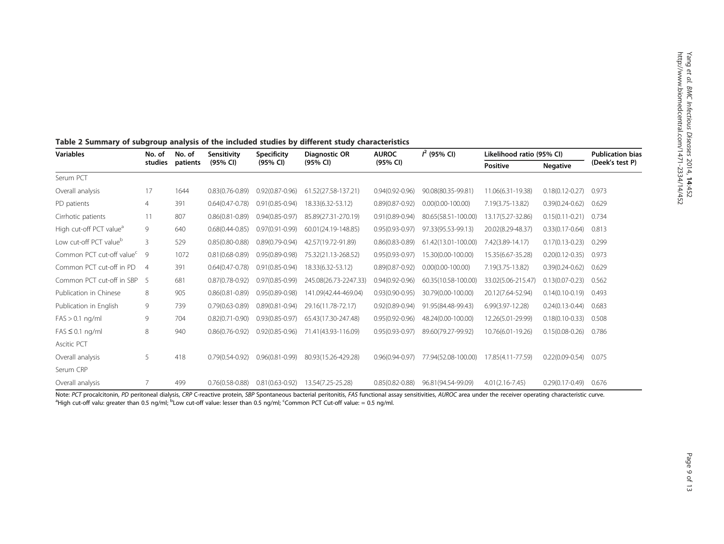| <b>Variables</b>                      | No. of         | No. of   | Sensitivity         | <b>Specificity</b>  | Diagnostic OR         | <b>AUROC</b>        | $I^2$ (95% CI)        | Likelihood ratio (95% CI) | <b>Publication bias</b> |                 |  |
|---------------------------------------|----------------|----------|---------------------|---------------------|-----------------------|---------------------|-----------------------|---------------------------|-------------------------|-----------------|--|
|                                       | studies        | patients | (95% CI)            | (95% CI)            | (95% CI)              | (95% CI)            |                       | Positive                  | <b>Negative</b>         | (Deek's test P) |  |
| Serum PCT                             |                |          |                     |                     |                       |                     |                       |                           |                         |                 |  |
| Overall analysis                      | 17             | 1644     | $0.83(0.76 - 0.89)$ | $0.92(0.87 - 0.96)$ | 61.52(27.58-137.21)   | $0.94(0.92 - 0.96)$ | 90.08(80.35-99.81)    | 11.06(6.31-19.38)         | $0.18(0.12 - 0.27)$     | 0.973           |  |
| PD patients                           | 4              | 391      | $0.64(0.47 - 0.78)$ | $0.91(0.85 - 0.94)$ | 18.33(6.32-53.12)     | $0.89(0.87 - 0.92)$ | $0.00(0.00 - 100.00)$ | 7.19(3.75-13.82)          | $0.39(0.24 - 0.62)$     | 0.629           |  |
| Cirrhotic patients                    | 11             | 807      | $0.86(0.81 - 0.89)$ | $0.94(0.85 - 0.97)$ | 85.89(27.31-270.19)   | $0.91(0.89 - 0.94)$ | 80.65(58.51-100.00)   | 13.17(5.27-32.86)         | $0.15(0.11 - 0.21)$     | 0.734           |  |
| High cut-off PCT value <sup>a</sup>   | 9              | 640      | $0.68(0.44 - 0.85)$ | $0.97(0.91 - 0.99)$ | 60.01(24.19-148.85)   | $0.95(0.93 - 0.97)$ | 97.33(95.53-99.13)    | 20.02(8.29-48.37)         | $0.33(0.17 - 0.64)$     | 0.813           |  |
| Low cut-off PCT value <sup>b</sup>    | 3              | 529      | $0.85(0.80 - 0.88)$ | $0.89(0.79 - 0.94)$ | 42.57(19.72-91.89)    | $0.86(0.83 - 0.89)$ | 61.42(13.01-100.00)   | 7.42(3.89-14.17)          | $0.17(0.13 - 0.23)$     | 0.299           |  |
| Common PCT cut-off value <sup>c</sup> | 9              | 1072     | $0.81(0.68 - 0.89)$ | $0.95(0.89 - 0.98)$ | 75.32(21.13-268.52)   | $0.95(0.93 - 0.97)$ | 15.30(0.00-100.00)    | 15.35(6.67-35.28)         | $0.20(0.12 - 0.35)$     | 0.973           |  |
| Common PCT cut-off in PD              | $\overline{4}$ | 391      | $0.64(0.47 - 0.78)$ | $0.91(0.85 - 0.94)$ | 18.33(6.32-53.12)     | $0.89(0.87 - 0.92)$ | $0.00(0.00 - 100.00)$ | 7.19(3.75-13.82)          | $0.39(0.24 - 0.62)$     | 0.629           |  |
| Common PCT cut-off in SBP             | - 5            | 681      | $0.87(0.78 - 0.92)$ | $0.97(0.85 - 0.99)$ | 245.08(26.73-2247.33) | $0.94(0.92 - 0.96)$ | 60.35(10.58-100.00)   | 33.02(5.06-215.47)        | $0.13(0.07 - 0.23)$     | 0.562           |  |
| Publication in Chinese                | 8              | 905      | $0.86(0.81 - 0.89)$ | $0.95(0.89 - 0.98)$ | 141.09(42.44-469.04)  | $0.93(0.90 - 0.95)$ | 30.79(0.00-100.00)    | 20.12(7.64-52.94)         | $0.14(0.10 - 0.19)$     | 0.493           |  |
| Publication in English                | 9              | 739      | $0.79(0.63 - 0.89)$ | $0.89(0.81 - 0.94)$ | 29.16(11.78-72.17)    | $0.92(0.89 - 0.94)$ | 91.95(84.48-99.43)    | 6.99(3.97-12.28)          | $0.24(0.13 - 0.44)$     | 0.683           |  |
| $FAS > 0.1$ ng/ml                     | 9              | 704      | $0.82(0.71 - 0.90)$ | $0.93(0.85 - 0.97)$ | 65.43(17.30-247.48)   | $0.95(0.92 - 0.96)$ | 48.24(0.00-100.00)    | 12.26(5.01-29.99)         | $0.18(0.10 - 0.33)$     | 0.508           |  |
| $FAS \leq 0.1$ ng/ml                  | 8              | 940      | $0.86(0.76 - 0.92)$ | $0.92(0.85 - 0.96)$ | 71.41(43.93-116.09)   | $0.95(0.93 - 0.97)$ | 89.60(79.27-99.92)    | 10.76(6.01-19.26)         | $0.15(0.08 - 0.26)$     | 0.786           |  |
| <b>Ascitic PCT</b>                    |                |          |                     |                     |                       |                     |                       |                           |                         |                 |  |
| Overall analysis                      | 5              | 418      | $0.79(0.54 - 0.92)$ | $0.96(0.81 - 0.99)$ | 80.93(15.26-429.28)   | $0.96(0.94 - 0.97)$ | 77.94(52.08-100.00)   | 17.85(4.11-77.59)         | $0.22(0.09 - 0.54)$     | 0.075           |  |
| Serum CRP                             |                |          |                     |                     |                       |                     |                       |                           |                         |                 |  |
| Overall analysis                      |                | 499      | $0.76(0.58 - 0.88)$ | $0.81(0.63 - 0.92)$ | 13.54(7.25-25.28)     | $0.85(0.82 - 0.88)$ | 96.81 (94.54-99.09)   | $4.01(2.16 - 7.45)$       | $0.29(0.17 - 0.49)$     | 0.676           |  |

# Table 2 Summary of subgroup analysis of the included studies by different study characteristics

Note: PCT procalcitonin, PD peritoneal dialysis, CRP C-reactive protein, SBP Spontaneous bacterial peritonitis, FAS functional assay sensitivities, AUROC area under the receiver operating characteristic curve.<br><sup>a</sup>High cut-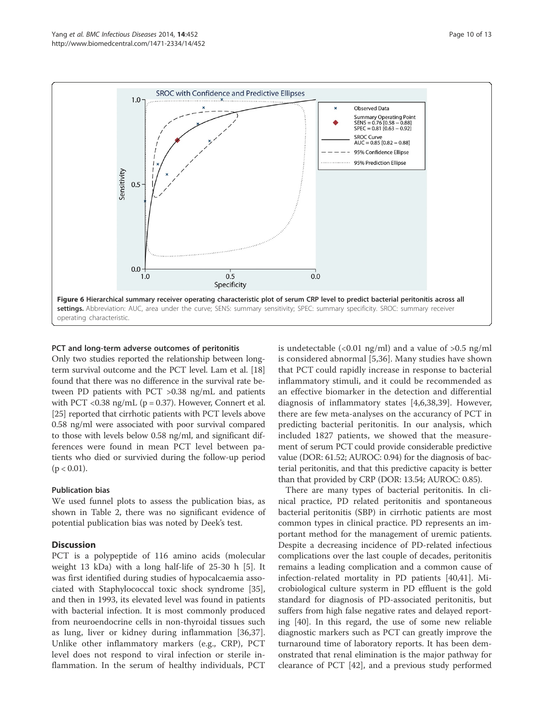

# PCT and long-term adverse outcomes of peritonitis

Only two studies reported the relationship between longterm survival outcome and the PCT level. Lam et al. [18] found that there was no difference in the survival rate between PD patients with PCT >0.38 ng/mL and patients with PCT < $0.38$  ng/mL ( $p = 0.37$ ). However, Connert et al. [25] reported that cirrhotic patients with PCT levels above 0.58 ng/ml were associated with poor survival compared to those with levels below 0.58 ng/ml, and significant differences were found in mean PCT level between patients who died or survivied during the follow-up period  $(p < 0.01)$ .

# Publication bias

We used funnel plots to assess the publication bias, as shown in Table 2, there was no significant evidence of potential publication bias was noted by Deek's test.

#### **Discussion**

PCT is a polypeptide of 116 amino acids (molecular weight 13 kDa) with a long half-life of 25-30 h [5]. It was first identified during studies of hypocalcaemia associated with Staphylococcal toxic shock syndrome [35], and then in 1993, its elevated level was found in patients with bacterial infection. It is most commonly produced from neuroendocrine cells in non-thyroidal tissues such as lung, liver or kidney during inflammation [36,37]. Unlike other inflammatory markers (e.g., CRP), PCT level does not respond to viral infection or sterile inflammation. In the serum of healthy individuals, PCT is undetectable  $\left($ <0.01 ng/ml) and a value of >0.5 ng/ml is considered abnormal [5,36]. Many studies have shown that PCT could rapidly increase in response to bacterial inflammatory stimuli, and it could be recommended as an effective biomarker in the detection and differential diagnosis of inflammatory states [4,6,38,39]. However, there are few meta-analyses on the accurancy of PCT in predicting bacterial peritonitis. In our analysis, which included 1827 patients, we showed that the measurement of serum PCT could provide considerable predictive value (DOR: 61.52; AUROC: 0.94) for the diagnosis of bacterial peritonitis, and that this predictive capacity is better than that provided by CRP (DOR: 13.54; AUROC: 0.85).

There are many types of bacterial peritonitis. In clinical practice, PD related peritonitis and spontaneous bacterial peritonitis (SBP) in cirrhotic patients are most common types in clinical practice. PD represents an important method for the management of uremic patients. Despite a decreasing incidence of PD-related infectious complications over the last couple of decades, peritonitis remains a leading complication and a common cause of infection-related mortality in PD patients [40,41]. Microbiological culture systerm in PD effluent is the gold standard for diagnosis of PD-associated peritonitis, but suffers from high false negative rates and delayed reporting [40]. In this regard, the use of some new reliable diagnostic markers such as PCT can greatly improve the turnaround time of laboratory reports. It has been demonstrated that renal elimination is the major pathway for clearance of PCT [42], and a previous study performed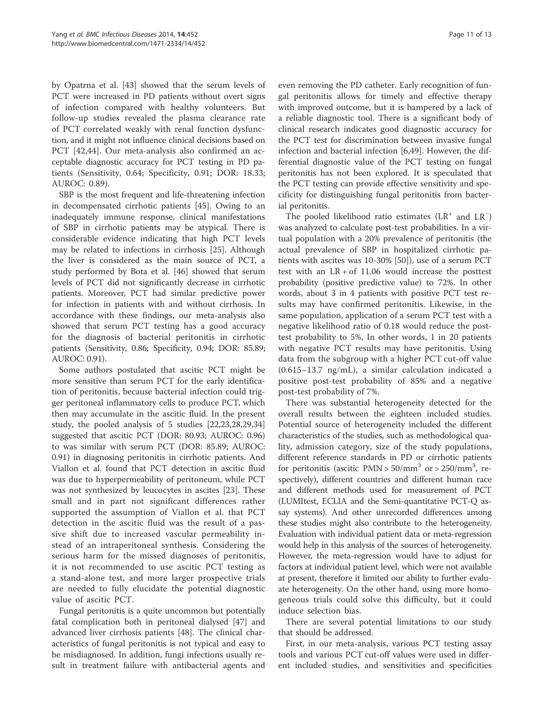by Opatrna et al. [43] showed that the serum levels of PCT were increased in PD patients without overt signs of infection compared with healthy volunteers. But follow-up studies revealed the plasma clearance rate of PCT correlated weakly with renal function dysfunction, and it might not influence clinical decisions based on PCT [42,44]. Our meta-analysis also confirmed an acceptable diagnostic accuracy for PCT testing in PD patients (Sensitivity, 0.64; Specificity, 0.91; DOR: 18.33; AUROC: 0.89).

SBP is the most frequent and life-threatening infection in decompensated cirrhotic patients [45]. Owing to an inadequately immune response, clinical manifestations of SBP in cirrhotic patients may be atypical. There is considerable evidence indicating that high PCT levels may be related to infections in cirrhosis [25]. Although the liver is considered as the main source of PCT, a study performed by Bota et al. [46] showed that serum levels of PCT did not significantly decrease in cirrhotic patients. Moreover, PCT had similar predictive power for infection in patients with and without cirrhosis. In accordance with these findings, our meta-analysis also showed that serum PCT testing has a good accuracy for the diagnosis of bacterial peritonitis in cirrhotic patients (Sensitivity, 0.86; Specificity, 0.94; DOR: 85.89; AUROC: 0.91).

Some authors postulated that ascitic PCT might be more sensitive than serum PCT for the early identification of peritonitis, because bacterial infection could trigger peritoneal inflammatory cells to produce PCT, which then may accumulate in the ascitic fluid. In the present study, the pooled analysis of 5 studies [22,23,28,29,34] suggested that ascitic PCT (DOR: 80.93; AUROC: 0.96) to was similar with serum PCT (DOR: 85.89; AUROC: 0.91) in diagnosing peritonitis in cirrhotic patients. And Viallon et al. found that PCT detection in ascitic fluid was due to hyperpermeability of peritoneum, while PCT was not synthesized by leucocytes in ascites [23]. These small and in part not significant differences rather supported the assumption of Viallon et al. that PCT detection in the ascitic fluid was the result of a passive shift due to increased vascular permeability instead of an intraperitoneal synthesis. Considering the serious harm for the missed diagnoses of peritonitis, it is not recommended to use ascitic PCT testing as a stand-alone test, and more larger prospective trials are needed to fully elucidate the potential diagnostic value of ascitic PCT.

Fungal peritonitis is a quite uncommon but potentially fatal complication both in peritoneal dialysed [47] and advanced liver cirrhosis patients [48]. The clinical characteristics of fungal peritonitis is not typical and easy to be misdiagnosed. In addition, fungi infections usually result in treatment failure with antibacterial agents and

even removing the PD catheter. Early recognition of fungal peritonitis allows for timely and effective therapy with improved outcome, but it is hampered by a lack of a reliable diagnostic tool. There is a significant body of clinical research indicates good diagnostic accuracy for the PCT test for discrimination between invasive fungal infection and bacterial infection [6,49]. However, the differential diagnostic value of the PCT testing on fungal peritonitis has not been explored. It is speculated that the PCT testing can provide effective sensitivity and specificity for distinguishing fungal peritonitis from bacterial peritonitis.

The pooled likelihood ratio estimates  $(LR<sup>+</sup>$  and  $LR<sup>-</sup>)$ was analyzed to calculate post-test probabilities. In a virtual population with a 20% prevalence of peritonitis (the actual prevalence of SBP in hospitalized cirrhotic patients with ascites was 10-30% [50]), use of a serum PCT test with an  $LR + of$  11.06 would increase the posttest probability (positive predictive value) to 72%. In other words, about 3 in 4 patients with positive PCT test results may have confirmed peritonitis. Likewise, in the same population, application of a serum PCT test with a negative likelihood ratio of 0.18 would reduce the posttest probability to 5%, In other words, 1 in 20 patients with negative PCT results may have peritonitis. Using data from the subgroup with a higher PCT cut-off value (0.615–13.7 ng/mL), a similar calculation indicated a positive post-test probability of 85% and a negative post-test probability of 7%.

There was substantial heterogeneity detected for the overall results between the eighteen included studies. Potential source of heterogeneity included the different characteristics of the studies, such as methodological quality, admission category, size of the study populations, different reference standards in PD or cirrhotic patients for peritonitis (ascitic  $PMN > 50/mm^3$  or  $> 250/mm^3$ , respectively), different countries and different human race and different methods used for measurement of PCT (LUMItest, ECLIA and the Semi-quantitative PCT-Q assay systems). And other unrecorded differences among these studies might also contribute to the heterogeneity. Evaluation with individual patient data or meta-regression would help in this analysis of the sources of heterogeneity. However, the meta-regression would have to adjust for factors at individual patient level, which were not available at present, therefore it limited our ability to further evaluate heterogeneity. On the other hand, using more homogeneous trials could solve this difficulty, but it could induce selection bias.

There are several potential limitations to our study that should be addressed.

First, in our meta-analysis, various PCT testing assay tools and various PCT cut-off values were used in different included studies, and sensitivities and specificities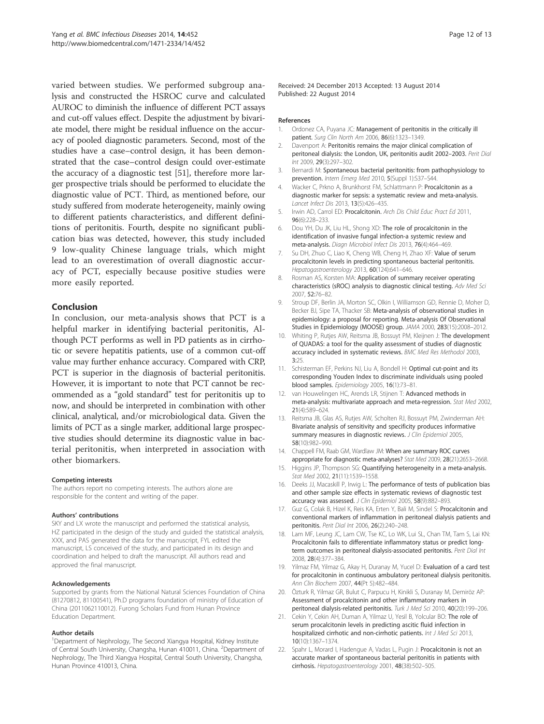varied between studies. We performed subgroup analysis and constructed the HSROC curve and calculated AUROC to diminish the influence of different PCT assays and cut-off values effect. Despite the adjustment by bivariate model, there might be residual influence on the accuracy of pooled diagnostic parameters. Second, most of the studies have a case–control design, it has been demonstrated that the case–control design could over-estimate the accuracy of a diagnostic test [51], therefore more larger prospective trials should be performed to elucidate the diagnostic value of PCT. Third, as mentioned before, our study suffered from moderate heterogeneity, mainly owing to different patients characteristics, and different definitions of peritonitis. Fourth, despite no significant publication bias was detected, however, this study included 9 low-quality Chinese language trials, which might lead to an overestimation of overall diagnostic accuracy of PCT, especially because positive studies were more easily reported.

# Conclusion

In conclusion, our meta-analysis shows that PCT is a helpful marker in identifying bacterial peritonitis, Although PCT performs as well in PD patients as in cirrhotic or severe hepatitis patients, use of a common cut-off value may further enhance accuracy. Compared with CRP, PCT is superior in the diagnosis of bacterial peritonitis. However, it is important to note that PCT cannot be recommended as a "gold standard" test for peritonitis up to now, and should be interpreted in combination with other clinical, analytical, and/or microbiological data. Given the limits of PCT as a single marker, additional large prospective studies should determine its diagnostic value in bacterial peritonitis, when interpreted in association with other biomarkers.

#### Competing interests

The authors report no competing interests. The authors alone are responsible for the content and writing of the paper.

#### Authors' contributions

SKY and LX wrote the manuscript and performed the statistical analysis, HZ participated in the design of the study and guided the statistical analysis, XXX, and PAS generated the data for the manuscript, FYL edited the manuscript, LS conceived of the study, and participated in its design and coordination and helped to draft the manuscript. All authors read and approved the final manuscript.

#### Acknowledgements

Supported by grants from the National Natural Sciences Foundation of China (81270812, 81100541), Ph.D programs foundation of ministry of Education of China (2011062110012). Furong Scholars Fund from Hunan Province Education Department.

#### Author details

<sup>1</sup>Department of Nephrology, The Second Xiangya Hospital, Kidney Institute of Central South University, Changsha, Hunan 410011, China. <sup>2</sup>Department of Nephrology, The Third Xiangya Hospital, Central South University, Changsha, Hunan Province 410013, China.

Received: 24 December 2013 Accepted: 13 August 2014 Published: 22 August 2014

#### References

- 1. Ordonez CA, Puyana JC: Management of peritonitis in the critically ill patient. Surg Clin North Am 2006, 86(6):1323–1349.
- 2. Davenport A: Peritonitis remains the major clinical complication of peritoneal dialysis: the London, UK, peritonitis audit 2002–2003. Perit Dial Int 2009, 29(3):297–302.
- 3. Bernardi M: Spontaneous bacterial peritonitis: from pathophysiology to prevention. Intern Emerg Med 2010, 5(Suppl 1):S37-S44.
- 4. Wacker C, Prkno A, Brunkhorst FM, Schlattmann P: Procalcitonin as a diagnostic marker for sepsis: a systematic review and meta-analysis. Lancet Infect Dis 2013, 13(5):426–435.
- 5. Irwin AD, Carrol ED: Procalcitonin. Arch Dis Child Educ Pract Ed 2011, 96(6):228–233.
- 6. Dou YH, Du JK, Liu HL, Shong XD: The role of procalcitonin in the identification of invasive fungal infection-a systemic review and meta-analysis. Diagn Microbiol Infect Dis 2013, 76(4):464–469.
- 7. Su DH, Zhuo C, Liao K, Cheng WB, Cheng H, Zhao XF: Value of serum procalcitonin levels in predicting spontaneous bacterial peritonitis. Hepatogastroenterology 2013, 60(124):641-646.
- 8. Rosman AS, Korsten MA: Application of summary receiver operating characteristics (sROC) analysis to diagnostic clinical testing. Adv Med Sci 2007, 52:76–82.
- 9. Stroup DF, Berlin JA, Morton SC, Olkin I, Williamson GD, Rennie D, Moher D, Becker BJ, Sipe TA, Thacker SB: Meta-analysis of observational studies in epidemiology: a proposal for reporting. Meta-analysis Of Observational Studies in Epidemiology (MOOSE) group. JAMA 2000, 283(15):2008–2012.
- 10. Whiting P, Rutjes AW, Reitsma JB, Bossuyt PM, Kleijnen J: The development of QUADAS: a tool for the quality assessment of studies of diagnostic accuracy included in systematic reviews. BMC Med Res Methodol 2003, 3:25.
- 11. Schisterman EF, Perkins NJ, Liu A, Bondell H: Optimal cut-point and its corresponding Youden Index to discriminate individuals using pooled blood samples. Epidemiology 2005, 16(1):73–81.
- 12. van Houwelingen HC, Arends LR, Stijnen T: Advanced methods in meta-analysis: multivariate approach and meta-regression. Stat Med 2002, 21(4):589–624.
- 13. Reitsma JB, Glas AS, Rutjes AW, Scholten RJ, Bossuyt PM, Zwinderman AH: Bivariate analysis of sensitivity and specificity produces informative summary measures in diagnostic reviews. J Clin Epidemiol 2005, 58(10):982–990.
- 14. Chappell FM, Raab GM, Wardlaw JM: When are summary ROC curves appropriate for diagnostic meta-analyses? Stat Med 2009, 28(21):2653–2668.
- 15. Higgins JP, Thompson SG: Quantifying heterogeneity in a meta-analysis. Stat Med 2002, 21(11):1539–1558.
- 16. Deeks JJ, Macaskill P, Irwig L: The performance of tests of publication bias and other sample size effects in systematic reviews of diagnostic test accuracy was assessed. J Clin Epidemiol 2005, 58(9):882-893.
- 17. Guz G, Colak B, Hizel K, Reis KA, Erten Y, Bali M, Sindel S: Procalcitonin and conventional markers of inflammation in peritoneal dialysis patients and peritonitis. Perit Dial Int 2006, 26(2):240–248.
- 18. Lam MF, Leung JC, Lam CW, Tse KC, Lo WK, Lui SL, Chan TM, Tam S, Lai KN: Procalcitonin fails to differentiate inflammatory status or predict longterm outcomes in peritoneal dialysis-associated peritonitis. Perit Dial Int 2008, 28(4):377–384.
- 19. Yilmaz FM, Yilmaz G, Akay H, Duranay M, Yucel D: Evaluation of a card test for procalcitonin in continuous ambulatory peritoneal dialysis peritonitis. Ann Clin Biochem 2007, 44(Pt 5):482-484.
- 20. Özturk R, Yilmaz GR, Bulut C, Parpucu H, Kinikli S, Duranay M, Demiröz AP: Assessment of procalcitonin and other inflammatory markers in peritoneal dialysis-related peritonitis. Turk J Med Sci 2010, 40(20):199-206.
- 21. Cekin Y, Cekin AH, Duman A, Yilmaz U, Yesil B, Yolcular BO: The role of serum procalcitonin levels in predicting ascitic fluid infection in hospitalized cirrhotic and non-cirrhotic patients. Int J Med Sci 2013, 10(10):1367–1374.
- 22. Spahr L, Morard I, Hadengue A, Vadas L, Pugin J: Procalcitonin is not an accurate marker of spontaneous bacterial peritonitis in patients with cirrhosis. Hepatogastroenterology 2001, 48(38):502–505.